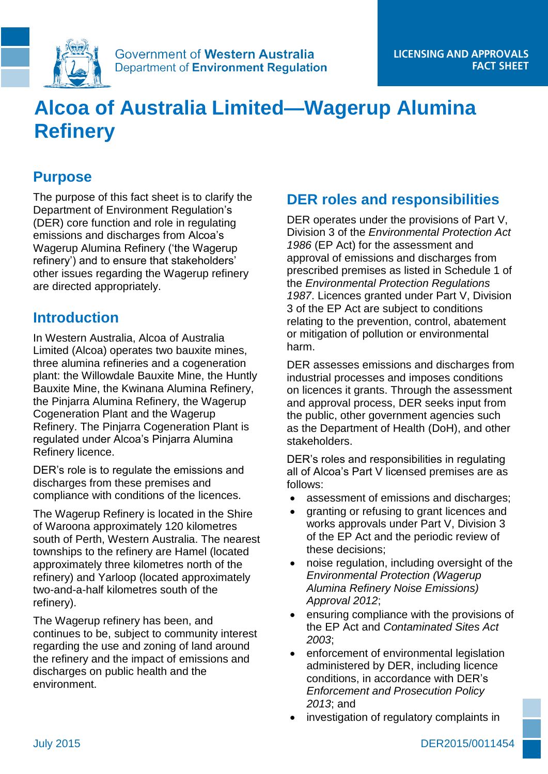

# **Alcoa of Australia Limited—Wagerup Alumina Refinery**

# **Purpose**

The purpose of this fact sheet is to clarify the Department of Environment Regulation's (DER) core function and role in regulating emissions and discharges from Alcoa's Wagerup Alumina Refinery ('the Wagerup refinery') and to ensure that stakeholders' other issues regarding the Wagerup refinery are directed appropriately.

## **Introduction**

In Western Australia, Alcoa of Australia Limited (Alcoa) operates two bauxite mines, three alumina refineries and a cogeneration plant: the Willowdale Bauxite Mine, the Huntly Bauxite Mine, the Kwinana Alumina Refinery, the Pinjarra Alumina Refinery, the Wagerup Cogeneration Plant and the Wagerup Refinery. The Pinjarra Cogeneration Plant is regulated under Alcoa's Pinjarra Alumina Refinery licence.

DER's role is to regulate the emissions and discharges from these premises and compliance with conditions of the licences.

The Wagerup Refinery is located in the Shire of Waroona approximately 120 kilometres south of Perth, Western Australia. The nearest townships to the refinery are Hamel (located approximately three kilometres north of the refinery) and Yarloop (located approximately two-and-a-half kilometres south of the refinery).

The Wagerup refinery has been, and continues to be, subject to community interest regarding the use and zoning of land around the refinery and the impact of emissions and discharges on public health and the environment.

# **DER roles and responsibilities**

DER operates under the provisions of Part V, Division 3 of the *Environmental Protection Act 1986* (EP Act) for the assessment and approval of emissions and discharges from prescribed premises as listed in Schedule 1 of the *Environmental Protection Regulations 1987*. Licences granted under Part V, Division 3 of the EP Act are subject to conditions relating to the prevention, control, abatement or mitigation of pollution or environmental harm.

DER assesses emissions and discharges from industrial processes and imposes conditions on licences it grants. Through the assessment and approval process, DER seeks input from the public, other government agencies such as the Department of Health (DoH), and other stakeholders.

DER's roles and responsibilities in regulating all of Alcoa's Part V licensed premises are as follows:

- assessment of emissions and discharges;
- granting or refusing to grant licences and works approvals under Part V, Division 3 of the EP Act and the periodic review of these decisions;
- noise regulation, including oversight of the *Environmental Protection (Wagerup Alumina Refinery Noise Emissions) Approval 2012*;
- ensuring compliance with the provisions of the EP Act and *Contaminated Sites Act 2003*;
- enforcement of environmental legislation administered by DER, including licence conditions, in accordance with DER's *Enforcement and Prosecution Policy 2013*; and
- investigation of regulatory complaints in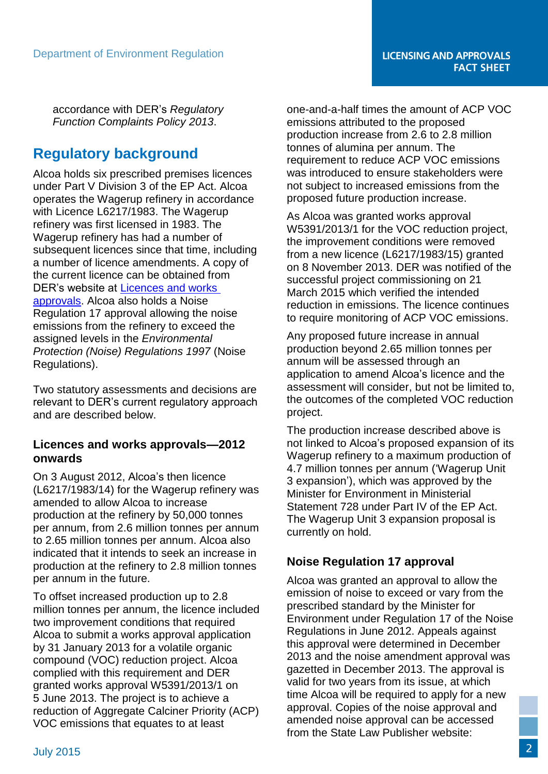accordance with DER's *Regulatory Function Complaints Policy 2013*.

# **Regulatory background**

Alcoa holds six prescribed premises licences under Part V Division 3 of the EP Act. Alcoa operates the Wagerup refinery in accordance with Licence L6217/1983. The Wagerup refinery was first licensed in 1983. The Wagerup refinery has had a number of subsequent licences since that time, including a number of licence amendments. A copy of the current licence can be obtained from DER's website at [Licences and works](http://www.der.wa.gov.au/our-work/licences-and-works-approvals)  [approvals.](http://www.der.wa.gov.au/our-work/licences-and-works-approvals) Alcoa also holds a Noise Regulation 17 approval allowing the noise emissions from the refinery to exceed the assigned levels in the *Environmental Protection (Noise) Regulations 1997* (Noise Regulations).

Two statutory assessments and decisions are relevant to DER's current regulatory approach and are described below.

#### **Licences and works approvals—2012 onwards**

On 3 August 2012, Alcoa's then licence (L6217/1983/14) for the Wagerup refinery was amended to allow Alcoa to increase production at the refinery by 50,000 tonnes per annum, from 2.6 million tonnes per annum to 2.65 million tonnes per annum. Alcoa also indicated that it intends to seek an increase in production at the refinery to 2.8 million tonnes per annum in the future.

To offset increased production up to 2.8 million tonnes per annum, the licence included two improvement conditions that required Alcoa to submit a works approval application by 31 January 2013 for a volatile organic compound (VOC) reduction project. Alcoa complied with this requirement and DER granted works approval W5391/2013/1 on 5 June 2013. The project is to achieve a reduction of Aggregate Calciner Priority (ACP) VOC emissions that equates to at least

one-and-a-half times the amount of ACP VOC emissions attributed to the proposed production increase from 2.6 to 2.8 million tonnes of alumina per annum. The requirement to reduce ACP VOC emissions was introduced to ensure stakeholders were not subject to increased emissions from the proposed future production increase.

As Alcoa was granted works approval W5391/2013/1 for the VOC reduction project, the improvement conditions were removed from a new licence (L6217/1983/15) granted on 8 November 2013. DER was notified of the successful project commissioning on 21 March 2015 which verified the intended reduction in emissions. The licence continues to require monitoring of ACP VOC emissions.

Any proposed future increase in annual production beyond 2.65 million tonnes per annum will be assessed through an application to amend Alcoa's licence and the assessment will consider, but not be limited to, the outcomes of the completed VOC reduction project.

The production increase described above is not linked to Alcoa's proposed expansion of its Wagerup refinery to a maximum production of 4.7 million tonnes per annum ('Wagerup Unit 3 expansion'), which was approved by the Minister for Environment in Ministerial Statement 728 under Part IV of the EP Act. The Wagerup Unit 3 expansion proposal is currently on hold.

#### **Noise Regulation 17 approval**

Alcoa was granted an approval to allow the emission of noise to exceed or vary from the prescribed standard by the Minister for Environment under Regulation 17 of the Noise Regulations in June 2012. Appeals against this approval were determined in December 2013 and the noise amendment approval was gazetted in December 2013. The approval is valid for two years from its issue, at which time Alcoa will be required to apply for a new approval. Copies of the noise approval and amended noise approval can be accessed from the State Law Publisher website: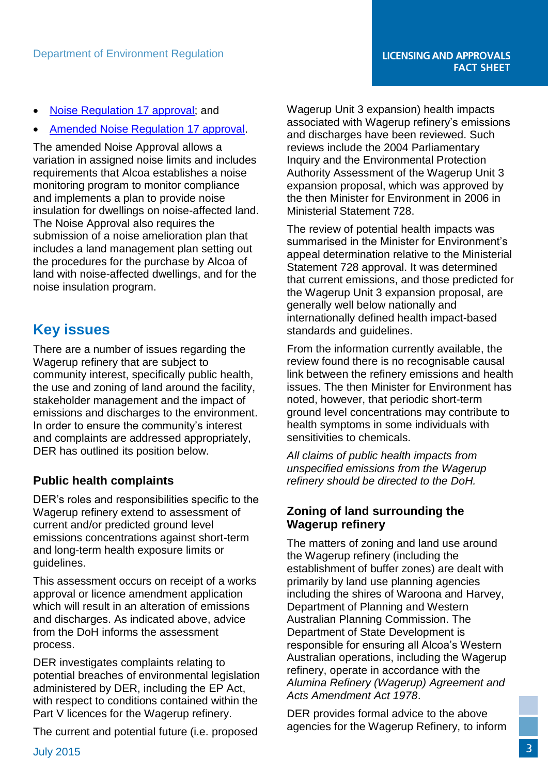- [Noise Regulation 17 approval;](http://www.slp.wa.gov.au/gazette/gazette.nsf/searchgazette/2801313D1ACBD7A948257A2B0017ED82/$file/Gg113.pdf) and
- [Amended Noise Regulation 17 approval.](http://www.slp.wa.gov.au/gazette/gazette.nsf/0/48913E2DE904525948257C3C00076D9E/$file/gg222.pdf)

The amended Noise Approval allows a variation in assigned noise limits and includes requirements that Alcoa establishes a noise monitoring program to monitor compliance and implements a plan to provide noise insulation for dwellings on noise-affected land. The Noise Approval also requires the submission of a noise amelioration plan that includes a land management plan setting out the procedures for the purchase by Alcoa of land with noise-affected dwellings, and for the noise insulation program.

## **Key issues**

There are a number of issues regarding the Wagerup refinery that are subject to community interest, specifically public health, the use and zoning of land around the facility, stakeholder management and the impact of emissions and discharges to the environment. In order to ensure the community's interest and complaints are addressed appropriately, DER has outlined its position below.

#### **Public health complaints**

DER's roles and responsibilities specific to the Wagerup refinery extend to assessment of current and/or predicted ground level emissions concentrations against short-term and long-term health exposure limits or guidelines.

This assessment occurs on receipt of a works approval or licence amendment application which will result in an alteration of emissions and discharges. As indicated above, advice from the DoH informs the assessment process.

DER investigates complaints relating to potential breaches of environmental legislation administered by DER, including the EP Act, with respect to conditions contained within the Part V licences for the Wagerup refinery.

The current and potential future (i.e. proposed

Wagerup Unit 3 expansion) health impacts associated with Wagerup refinery's emissions and discharges have been reviewed. Such reviews include the 2004 Parliamentary Inquiry and the Environmental Protection Authority Assessment of the Wagerup Unit 3 expansion proposal, which was approved by the then Minister for Environment in 2006 in Ministerial Statement 728.

The review of potential health impacts was summarised in the Minister for Environment's appeal determination relative to the Ministerial Statement 728 approval. It was determined that current emissions, and those predicted for the Wagerup Unit 3 expansion proposal, are generally well below nationally and internationally defined health impact-based standards and guidelines.

From the information currently available, the review found there is no recognisable causal link between the refinery emissions and health issues. The then Minister for Environment has noted, however, that periodic short-term ground level concentrations may contribute to health symptoms in some individuals with sensitivities to chemicals.

*All claims of public health impacts from unspecified emissions from the Wagerup refinery should be directed to the DoH.*

#### **Zoning of land surrounding the Wagerup refinery**

The matters of zoning and land use around the Wagerup refinery (including the establishment of buffer zones) are dealt with primarily by land use planning agencies including the shires of Waroona and Harvey, Department of Planning and Western Australian Planning Commission. The Department of State Development is responsible for ensuring all Alcoa's Western Australian operations, including the Wagerup refinery, operate in accordance with the *Alumina Refinery (Wagerup) Agreement and Acts Amendment Act 1978*.

DER provides formal advice to the above agencies for the Wagerup Refinery, to inform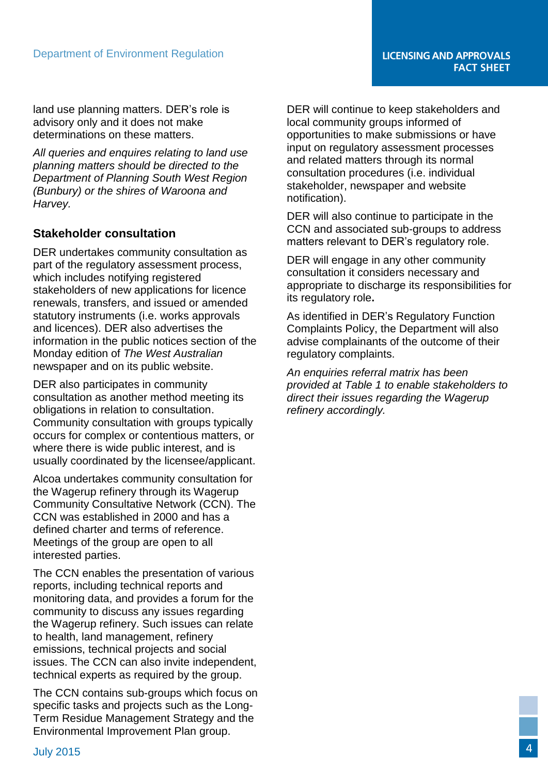land use planning matters. DER's role is advisory only and it does not make determinations on these matters.

*All queries and enquires relating to land use planning matters should be directed to the Department of Planning South West Region (Bunbury) or the shires of Waroona and Harvey.*

#### **Stakeholder consultation**

DER undertakes community consultation as part of the regulatory assessment process, which includes notifying registered stakeholders of new applications for licence renewals, transfers, and issued or amended statutory instruments (i.e. works approvals and licences). DER also advertises the information in the public notices section of the Monday edition of *The West Australian* newspaper and on its public website.

DER also participates in community consultation as another method meeting its obligations in relation to consultation. Community consultation with groups typically occurs for complex or contentious matters, or where there is wide public interest, and is usually coordinated by the licensee/applicant.

Alcoa undertakes community consultation for the Wagerup refinery through its Wagerup Community Consultative Network (CCN). The CCN was established in 2000 and has a defined charter and terms of reference. Meetings of the group are open to all interested parties.

The CCN enables the presentation of various reports, including technical reports and monitoring data, and provides a forum for the community to discuss any issues regarding the Wagerup refinery. Such issues can relate to health, land management, refinery emissions, technical projects and social issues. The CCN can also invite independent, technical experts as required by the group.

The CCN contains sub-groups which focus on specific tasks and projects such as the Long-Term Residue Management Strategy and the Environmental Improvement Plan group.

DER will continue to keep stakeholders and local community groups informed of opportunities to make submissions or have input on regulatory assessment processes and related matters through its normal consultation procedures (i.e. individual stakeholder, newspaper and website notification).

DER will also continue to participate in the CCN and associated sub-groups to address matters relevant to DER's regulatory role.

DER will engage in any other community consultation it considers necessary and appropriate to discharge its responsibilities for its regulatory role**.**

As identified in DER's Regulatory Function Complaints Policy, the Department will also advise complainants of the outcome of their regulatory complaints.

*An enquiries referral matrix has been provided at Table 1 to enable stakeholders to direct their issues regarding the Wagerup refinery accordingly.*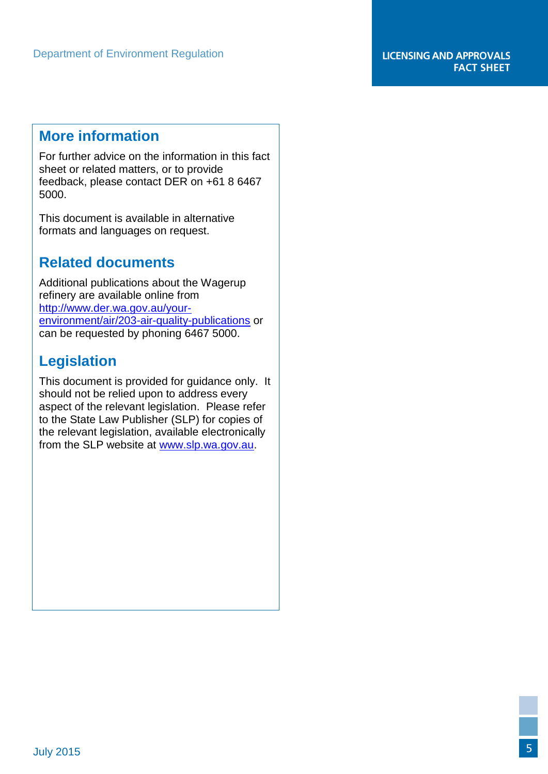## **More information**

For further advice on the information in this fact sheet or related matters, or to provide feedback, please contact DER on +61 8 6467 5000.

This document is available in alternative formats and languages on request.

# **Related documents**

Additional publications about the Wagerup refinery are available online from [http://www.der.wa.gov.au/your](http://www.der.wa.gov.au/your-environment/air/203-air-quality-publications)[environment/air/203-air-quality-publications](http://www.der.wa.gov.au/your-environment/air/203-air-quality-publications) or can be requested by phoning 6467 5000.

# **Legislation**

This document is provided for guidance only. It should not be relied upon to address every aspect of the relevant legislation. Please refer to the State Law Publisher (SLP) for copies of the relevant legislation, available electronically from the SLP website at [www.slp.wa.gov.au.](http://www.slp.wa.gov.au/)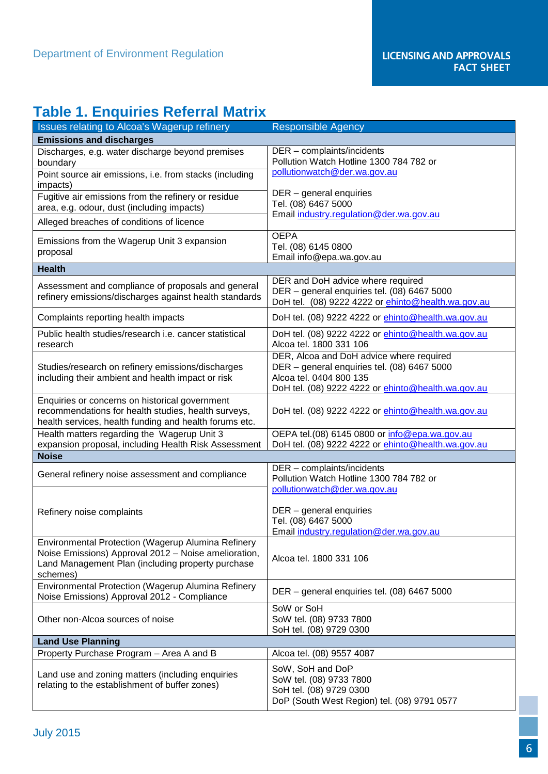# **Table 1. Enquiries Referral Matrix**

| Issues relating to Alcoa's Wagerup refinery                                                                                                                                 | <b>Responsible Agency</b>                                                                                                                                                       |
|-----------------------------------------------------------------------------------------------------------------------------------------------------------------------------|---------------------------------------------------------------------------------------------------------------------------------------------------------------------------------|
| <b>Emissions and discharges</b>                                                                                                                                             |                                                                                                                                                                                 |
| Discharges, e.g. water discharge beyond premises<br>boundary                                                                                                                | DER - complaints/incidents<br>Pollution Watch Hotline 1300 784 782 or                                                                                                           |
| Point source air emissions, i.e. from stacks (including<br>impacts)                                                                                                         | pollutionwatch@der.wa.gov.au                                                                                                                                                    |
| Fugitive air emissions from the refinery or residue<br>area, e.g. odour, dust (including impacts)                                                                           | DER - general enquiries<br>Tel. (08) 6467 5000                                                                                                                                  |
| Alleged breaches of conditions of licence                                                                                                                                   | Email industry.regulation@der.wa.gov.au                                                                                                                                         |
| Emissions from the Wagerup Unit 3 expansion<br>proposal                                                                                                                     | <b>OEPA</b><br>Tel. (08) 6145 0800<br>Email info@epa.wa.gov.au                                                                                                                  |
| <b>Health</b>                                                                                                                                                               |                                                                                                                                                                                 |
| Assessment and compliance of proposals and general<br>refinery emissions/discharges against health standards                                                                | DER and DoH advice where required<br>DER - general enquiries tel. (08) 6467 5000<br>DoH tel. (08) 9222 4222 or ehinto@health.wa.gov.au                                          |
| Complaints reporting health impacts                                                                                                                                         | DoH tel. (08) 9222 4222 or <i>ehinto@health.wa.gov.au</i>                                                                                                                       |
| Public health studies/research i.e. cancer statistical<br>research                                                                                                          | DoH tel. (08) 9222 4222 or <i>ehinto@health.wa.gov.au</i><br>Alcoa tel. 1800 331 106                                                                                            |
| Studies/research on refinery emissions/discharges<br>including their ambient and health impact or risk                                                                      | DER, Alcoa and DoH advice where required<br>DER - general enquiries tel. (08) 6467 5000<br>Alcoa tel. 0404 800 135<br>DoH tel. (08) 9222 4222 or <i>ehinto@health.wa.gov.au</i> |
| Enquiries or concerns on historical government<br>recommendations for health studies, health surveys,<br>health services, health funding and health forums etc.             | DoH tel. (08) 9222 4222 or <i>ehinto@health.wa.gov.au</i>                                                                                                                       |
| Health matters regarding the Wagerup Unit 3<br>expansion proposal, including Health Risk Assessment                                                                         | OEPA tel.(08) 6145 0800 or info@epa.wa.gov.au<br>DoH tel. (08) 9222 4222 or <i>ehinto@health.wa.gov.au</i>                                                                      |
| <b>Noise</b>                                                                                                                                                                |                                                                                                                                                                                 |
| General refinery noise assessment and compliance                                                                                                                            | DER - complaints/incidents<br>Pollution Watch Hotline 1300 784 782 or                                                                                                           |
| Refinery noise complaints                                                                                                                                                   | pollutionwatch@der.wa.gov.au<br>DER - general enquiries<br>Tel. (08) 6467 5000<br>Email industry.regulation@der.wa.gov.au                                                       |
| Environmental Protection (Wagerup Alumina Refinery<br>Noise Emissions) Approval 2012 - Noise amelioration,<br>Land Management Plan (including property purchase<br>schemes) | Alcoa tel. 1800 331 106                                                                                                                                                         |
| Environmental Protection (Wagerup Alumina Refinery<br>Noise Emissions) Approval 2012 - Compliance                                                                           | DER - general enquiries tel. (08) 6467 5000                                                                                                                                     |
| Other non-Alcoa sources of noise                                                                                                                                            | SoW or SoH<br>SoW tel. (08) 9733 7800<br>SoH tel. (08) 9729 0300                                                                                                                |
| <b>Land Use Planning</b>                                                                                                                                                    |                                                                                                                                                                                 |
| Property Purchase Program - Area A and B                                                                                                                                    | Alcoa tel. (08) 9557 4087                                                                                                                                                       |
| Land use and zoning matters (including enquiries<br>relating to the establishment of buffer zones)                                                                          | SoW, SoH and DoP<br>SoW tel. (08) 9733 7800<br>SoH tel. (08) 9729 0300<br>DoP (South West Region) tel. (08) 9791 0577                                                           |